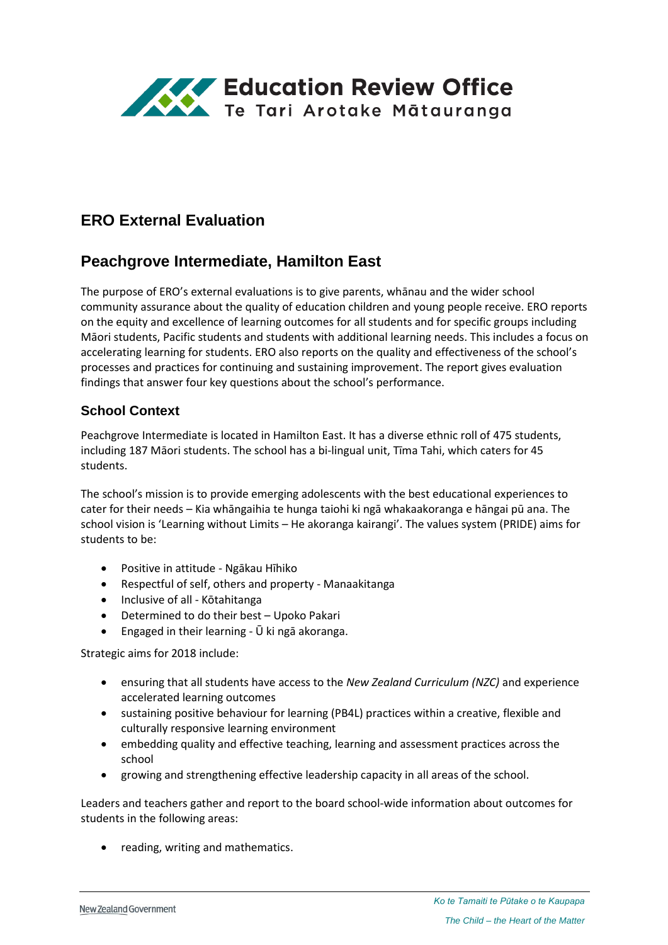

# **ERO External Evaluation**

# **Peachgrove Intermediate, Hamilton East**

The purpose of ERO's external evaluations is to give parents, whānau and the wider school community assurance about the quality of education children and young people receive. ERO reports on the equity and excellence of learning outcomes for all students and for specific groups including Māori students, Pacific students and students with additional learning needs. This includes a focus on accelerating learning for students. ERO also reports on the quality and effectiveness of the school's processes and practices for continuing and sustaining improvement. The report gives evaluation findings that answer four key questions about the school's performance.

### **School Context**

Peachgrove Intermediate is located in Hamilton East. It has a diverse ethnic roll of 475 students, including 187 Māori students. The school has a bi-lingual unit, Tīma Tahi, which caters for 45 students.

The school's mission is to provide emerging adolescents with the best educational experiences to cater for their needs – Kia whāngaihia te hunga taiohi ki ngā whakaakoranga e hāngai pū ana. The school vision is 'Learning without Limits – He akoranga kairangi'. The values system (PRIDE) aims for students to be:

- Positive in attitude Ngākau Hīhiko
- Respectful of self, others and property Manaakitanga
- Inclusive of all Kōtahitanga
- Determined to do their best Upoko Pakari
- Engaged in their learning Ū ki ngā akoranga.

Strategic aims for 2018 include:

- ensuring that all students have access to the *New Zealand Curriculum (NZC)* and experience accelerated learning outcomes
- sustaining positive behaviour for learning (PB4L) practices within a creative, flexible and culturally responsive learning environment
- embedding quality and effective teaching, learning and assessment practices across the school
- growing and strengthening effective leadership capacity in all areas of the school.

Leaders and teachers gather and report to the board school-wide information about outcomes for students in the following areas:

• reading, writing and mathematics.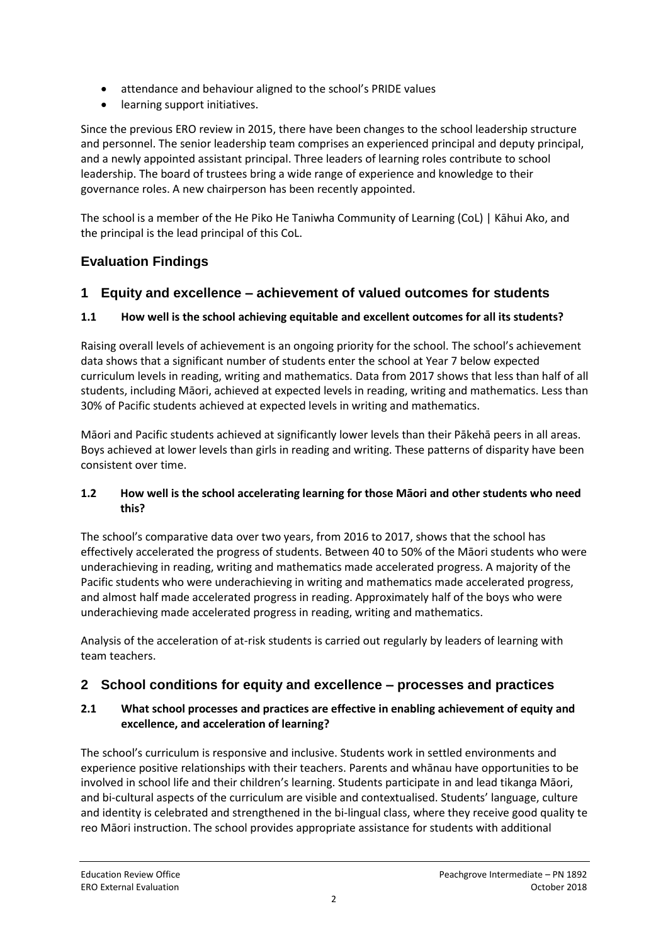- attendance and behaviour aligned to the school's PRIDE values
- learning support initiatives.

Since the previous ERO review in 2015, there have been changes to the school leadership structure and personnel. The senior leadership team comprises an experienced principal and deputy principal, and a newly appointed assistant principal. Three leaders of learning roles contribute to school leadership. The board of trustees bring a wide range of experience and knowledge to their governance roles. A new chairperson has been recently appointed.

The school is a member of the He Piko He Taniwha Community of Learning (CoL) | Kāhui Ako, and the principal is the lead principal of this CoL.

## **Evaluation Findings**

### **1 Equity and excellence – achievement of valued outcomes for students**

### **1.1 How well is the school achieving equitable and excellent outcomes for all its students?**

Raising overall levels of achievement is an ongoing priority for the school. The school's achievement data shows that a significant number of students enter the school at Year 7 below expected curriculum levels in reading, writing and mathematics. Data from 2017 shows that less than half of all students, including Māori, achieved at expected levels in reading, writing and mathematics. Less than 30% of Pacific students achieved at expected levels in writing and mathematics.

Māori and Pacific students achieved at significantly lower levels than their Pākehā peers in all areas. Boys achieved at lower levels than girls in reading and writing. These patterns of disparity have been consistent over time.

#### **1.2 How well is the school accelerating learning for those Māori and other students who need this?**

The school's comparative data over two years, from 2016 to 2017, shows that the school has effectively accelerated the progress of students. Between 40 to 50% of the Māori students who were underachieving in reading, writing and mathematics made accelerated progress. A majority of the Pacific students who were underachieving in writing and mathematics made accelerated progress, and almost half made accelerated progress in reading. Approximately half of the boys who were underachieving made accelerated progress in reading, writing and mathematics.

Analysis of the acceleration of at-risk students is carried out regularly by leaders of learning with team teachers.

## **2 School conditions for equity and excellence – processes and practices**

#### **2.1 What school processes and practices are effective in enabling achievement of equity and excellence, and acceleration of learning?**

The school's curriculum is responsive and inclusive. Students work in settled environments and experience positive relationships with their teachers. Parents and whānau have opportunities to be involved in school life and their children's learning. Students participate in and lead tikanga Māori, and bi-cultural aspects of the curriculum are visible and contextualised. Students' language, culture and identity is celebrated and strengthened in the bi-lingual class, where they receive good quality te reo Māori instruction. The school provides appropriate assistance for students with additional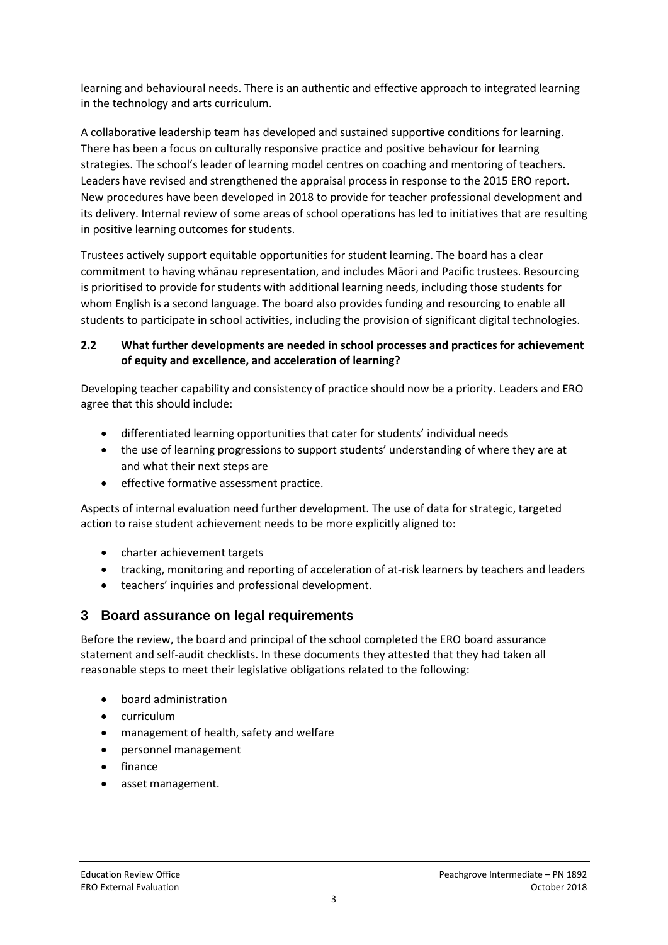learning and behavioural needs. There is an authentic and effective approach to integrated learning in the technology and arts curriculum.

A collaborative leadership team has developed and sustained supportive conditions for learning. There has been a focus on culturally responsive practice and positive behaviour for learning strategies. The school's leader of learning model centres on coaching and mentoring of teachers. Leaders have revised and strengthened the appraisal process in response to the 2015 ERO report. New procedures have been developed in 2018 to provide for teacher professional development and its delivery. Internal review of some areas of school operations has led to initiatives that are resulting in positive learning outcomes for students.

Trustees actively support equitable opportunities for student learning. The board has a clear commitment to having whānau representation, and includes Māori and Pacific trustees. Resourcing is prioritised to provide for students with additional learning needs, including those students for whom English is a second language. The board also provides funding and resourcing to enable all students to participate in school activities, including the provision of significant digital technologies.

#### **2.2 What further developments are needed in school processes and practices for achievement of equity and excellence, and acceleration of learning?**

Developing teacher capability and consistency of practice should now be a priority. Leaders and ERO agree that this should include:

- differentiated learning opportunities that cater for students' individual needs
- the use of learning progressions to support students' understanding of where they are at and what their next steps are
- **•** effective formative assessment practice.

Aspects of internal evaluation need further development. The use of data for strategic, targeted action to raise student achievement needs to be more explicitly aligned to:

- charter achievement targets
- tracking, monitoring and reporting of acceleration of at-risk learners by teachers and leaders
- teachers' inquiries and professional development.

#### **3 Board assurance on legal requirements**

Before the review, the board and principal of the school completed the ERO board assurance statement and self-audit checklists. In these documents they attested that they had taken all reasonable steps to meet their legislative obligations related to the following:

- board administration
- curriculum
- management of health, safety and welfare
- personnel management
- finance
- asset management.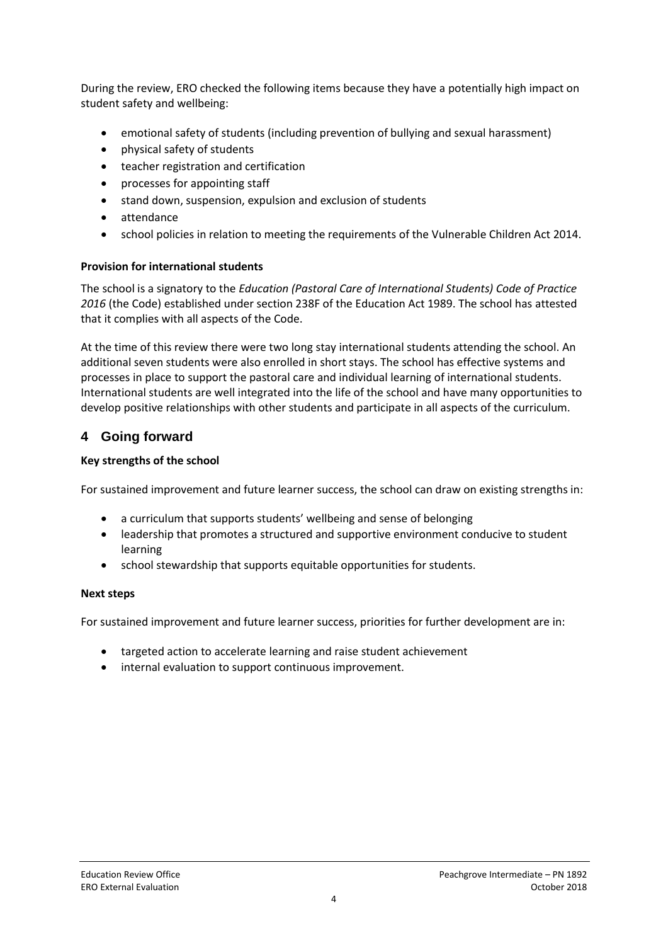During the review, ERO checked the following items because they have a potentially high impact on student safety and wellbeing:

- emotional safety of students (including prevention of bullying and sexual harassment)
- physical safety of students
- teacher registration and certification
- processes for appointing staff
- stand down, suspension, expulsion and exclusion of students
- attendance
- school policies in relation to meeting the requirements of the Vulnerable Children Act 2014.

#### **Provision for international students**

The school is a signatory to the *Education (Pastoral Care of International Students) Code of Practice 2016* (the Code) established under section 238F of the Education Act 1989. The school has attested that it complies with all aspects of the Code.

At the time of this review there were two long stay international students attending the school. An additional seven students were also enrolled in short stays. The school has effective systems and processes in place to support the pastoral care and individual learning of international students. International students are well integrated into the life of the school and have many opportunities to develop positive relationships with other students and participate in all aspects of the curriculum.

## **4 Going forward**

#### **Key strengths of the school**

For sustained improvement and future learner success, the school can draw on existing strengths in:

- a curriculum that supports students' wellbeing and sense of belonging
- leadership that promotes a structured and supportive environment conducive to student learning
- school stewardship that supports equitable opportunities for students.

#### **Next steps**

For sustained improvement and future learner success, priorities for further development are in:

- targeted action to accelerate learning and raise student achievement
- internal evaluation to support continuous improvement.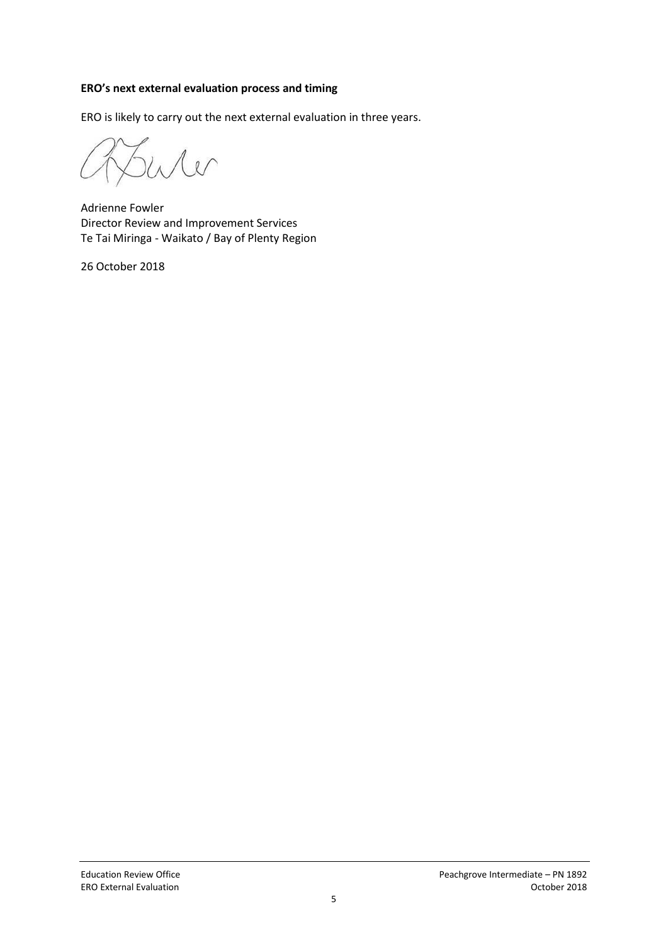#### **ERO's next external evaluation process and timing**

ERO is likely to carry out the next external evaluation in three years.

 $\sim$ 

Adrienne Fowler Director Review and Improvement Services Te Tai Miringa - Waikato / Bay of Plenty Region

26 October 2018